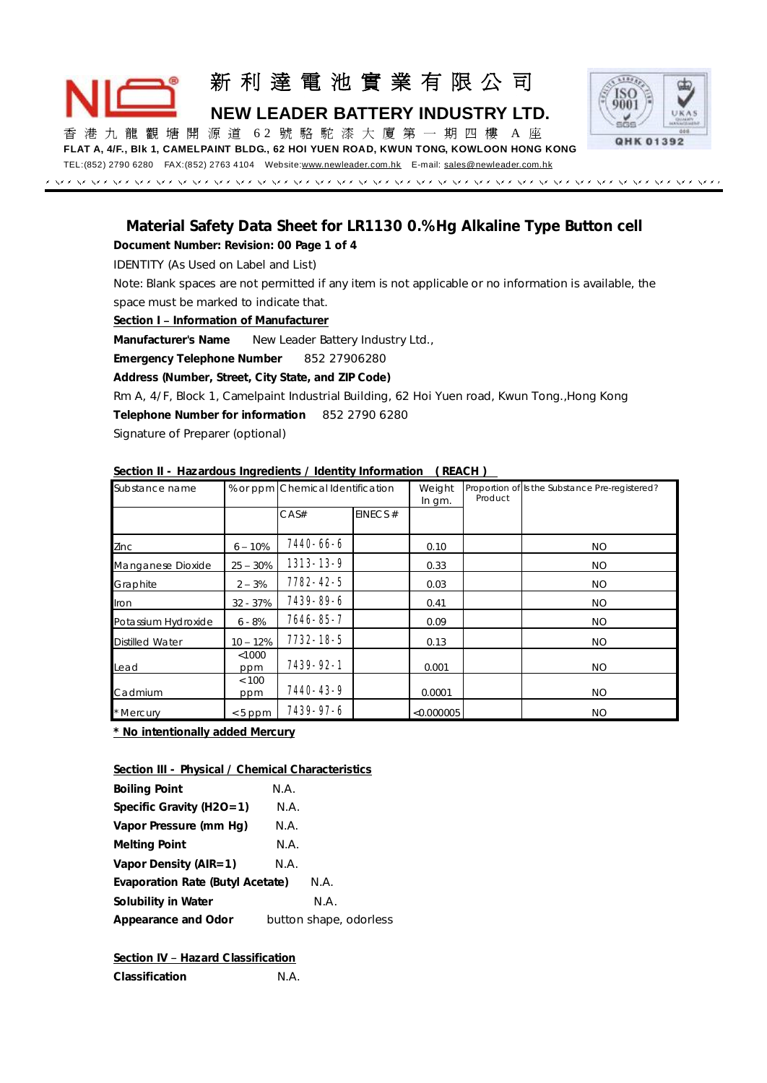# 新 利 達 電 池 實 業 有 限 公 司 **NEW LEADER BATTERY INDUSTRY LTD.**



香 港 九 龍 觀 塘 開 源 道 6 2 號 駱 駝 漆 大 廈 第 一 期四樓 A 座 **FLAT A, 4/F., Blk 1, CAMELPAINT BLDG., 62 HOI YUEN ROAD, KWUN TONG, KOWLOON HONG KONG** TEL:(852) 2790 6280 FAX:(852) 2763 4104 Website[:www.newleader.com.hk](http://www.newleader.com.hk) E-mail: [sales@newleader.com.hk](mailto:sales@newleader.com.hk)

# *Material Safety Data Sheet for LR1130 0.% Hg Alkaline Type Button cell*

**Document Number: Revision: 00 Page 1 of 4**  IDENTITY (As Used on Label and List) Note: Blank spaces are not permitted if any item is not applicable or no information is available, the space must be marked to indicate that. **Section I – Information of Manufacturer Manufacturer's Name** New Leader Battery Industry Ltd., **Emergency Telephone Number** 852 27906280 **Address (Number, Street, City State, and ZIP Code)**  Rm A, 4/F, Block 1, Camelpaint Industrial Building, 62 Hoi Yuen road, Kwun Tong.,Hong Kong **Telephone Number for information** 852 2790 6280 Signature of Preparer (optional)

| JUULIUI II             |            | $\sim$ mazardous inquedicties $\prime$ ractivity information. |            |            |         |                                                |
|------------------------|------------|---------------------------------------------------------------|------------|------------|---------|------------------------------------------------|
| Substance name         |            | % or ppm Chemical Identification                              |            | Weight     | Product | Proportion of Is the Substance Pre-registered? |
|                        |            |                                                               |            | In gm.     |         |                                                |
|                        |            | CAS#                                                          | EINECS $#$ |            |         |                                                |
|                        |            |                                                               |            |            |         |                                                |
| Zinc                   | $6 - 10%$  | 7440-66-6                                                     |            | 0.10       |         | NO.                                            |
| Manganese Dioxide      | $25 - 30%$ | 1313-13-9                                                     |            | 0.33       |         | <b>NO</b>                                      |
| Graphite               | $2 - 3%$   | 7782-42-5                                                     |            | 0.03       |         | NO.                                            |
| Iron                   | $32 - 37%$ | 7439-89-6                                                     |            | 0.41       |         | <b>NO</b>                                      |
| Potassium Hydroxide    | $6 - 8%$   | 7646-85-7                                                     |            | 0.09       |         | <b>NO</b>                                      |
| <b>Distilled Water</b> | $10 - 12%$ | 7732-18-5                                                     |            | 0.13       |         | NO.                                            |
|                        | $<$ 1000   |                                                               |            |            |         |                                                |
| Lead                   | ppm        | 7439-92-1                                                     |            | 0.001      |         | <b>NO</b>                                      |
|                        | < 100      |                                                               |            |            |         |                                                |
| Cadmium                | ppm        | 7440-43-9                                                     |            | 0.0001     |         | NO.                                            |
| * Mercury              | $< 5$ ppm  | 7439-97-6                                                     |            | < 0.000005 |         | <b>NO</b>                                      |

**Section II - Hazardous Ingredients / Identity Information ( REACH )** 

**\* No intentionally added Mercury**

**Section III - Physical / Chemical Characteristics**

| Boiling Point                    | N.A. |                        |
|----------------------------------|------|------------------------|
| Specific Gravity (H2O=1)         | N.A. |                        |
| Vapor Pressure (mm Hg)           | N.A. |                        |
| Melting Point                    | N.A. |                        |
| Vapor Density (AIR=1)            | N.A. |                        |
| Evaporation Rate (Butyl Acetate) |      | N.A.                   |
| Solubility in Water              |      | N.A.                   |
| Appearance and Odor              |      | button shape, odorless |

**Section IV – Hazard Classification**

| Classification | N.A. |
|----------------|------|
|                |      |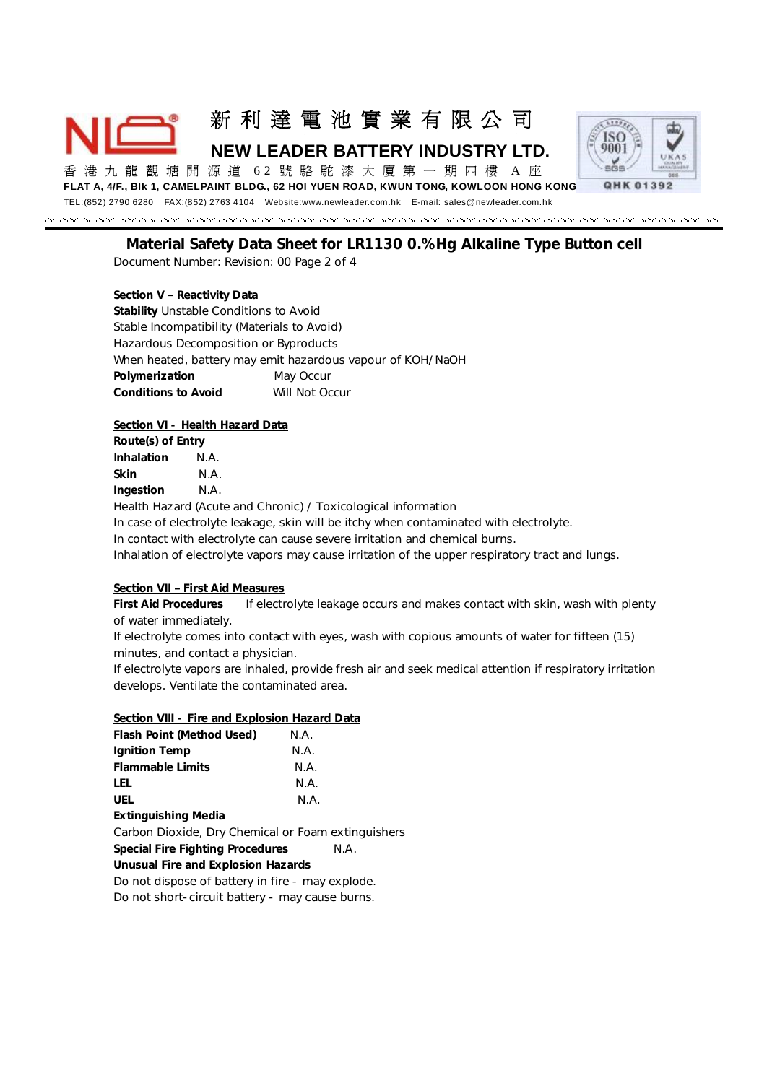新 利 達 電 池 實 業 有 限 公 司

**NEW LEADER BATTERY INDUSTRY LTD.** 

香 港 九 龍 觀 塘 開 源 道 6 2 號 駱 駝 漆 大 廈 第 一 期四樓 A 座 **FLAT A, 4/F., Blk 1, CAMELPAINT BLDG., 62 HOI YUEN ROAD, KWUN TONG, KOWLOON HONG KONG**



TEL:(852) 2790 6280 FAX:(852) 2763 4104 Website[:www.newleader.com.hk](http://www.newleader.com.hk) E-mail: [sales@newleader.com.hk](mailto:sales@newleader.com.hk)

*Material Safety Data Sheet for LR1130 0.% Hg Alkaline Type Button cell*  Document Number: Revision: 00 Page 2 of 4

**Section V – Reactivity Data Stability** Unstable Conditions to Avoid Stable Incompatibility (Materials to Avoid) Hazardous Decomposition or Byproducts When heated, battery may emit hazardous vapour of KOH/NaOH **Polymerization** May Occur **Conditions to Avoid** Will Not Occur

**Section VI - Health Hazard Data**

**Route(s) of Entry**  I**nhalation** N.A. **Skin** N.A. **Ingestion** N.A.

Health Hazard (Acute and Chronic) / Toxicological information

In case of electrolyte leakage, skin will be itchy when contaminated with electrolyte.

In contact with electrolyte can cause severe irritation and chemical burns.

Inhalation of electrolyte vapors may cause irritation of the upper respiratory tract and lungs.

**Section VII – First Aid Measures**

**First Aid Procedures** If electrolyte leakage occurs and makes contact with skin, wash with plenty of water immediately.

If electrolyte comes into contact with eyes, wash with copious amounts of water for fifteen (15) minutes, and contact a physician.

If electrolyte vapors are inhaled, provide fresh air and seek medical attention if respiratory irritation develops. Ventilate the contaminated area.

| Section VIII - Fire and Explosion Hazard Data      |      |  |  |  |
|----------------------------------------------------|------|--|--|--|
| Flash Point (Method Used)                          | N.A. |  |  |  |
| Ignition Temp                                      | N.A. |  |  |  |
| <b>Flammable Limits</b>                            | N.A. |  |  |  |
| LEL.                                               | N.A. |  |  |  |
| UEL.                                               | N.A. |  |  |  |
| Extinguishing Media                                |      |  |  |  |
| Carbon Dioxide, Dry Chemical or Foam extinguishers |      |  |  |  |
| Special Fire Fighting Procedures                   | N.A. |  |  |  |
| Unusual Fire and Explosion Hazards                 |      |  |  |  |
| Do not dispose of battery in fire - may explode.   |      |  |  |  |
| Do not short-circuit battery - may cause burns.    |      |  |  |  |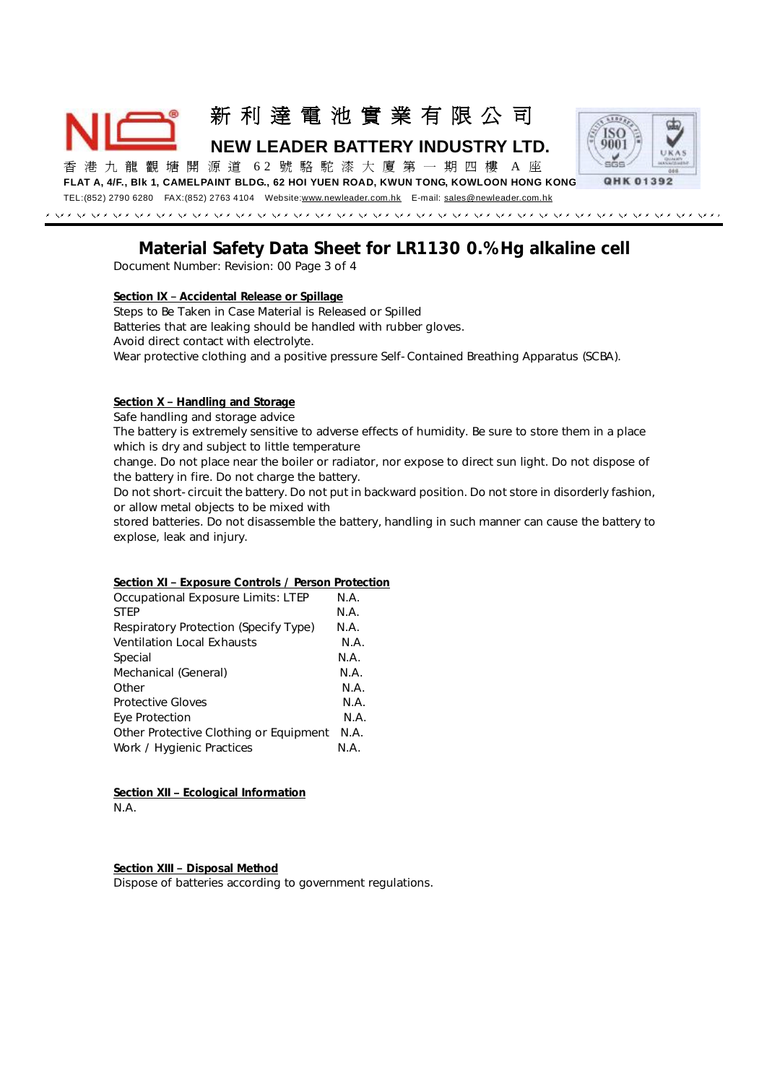新 利 達 電 池 實 業 有 限 公 司 **NEW LEADER BATTERY INDUSTRY LTD.** 



香 港 九 龍 觀 塘 開 源 道 6 2 號 駱 駝 漆 大 廈 第 一 期四樓 A 座

**FLAT A, 4/F., Blk 1, CAMELPAINT BLDG., 62 HOI YUEN ROAD, KWUN TONG, KOWLOON HONG KONG**

TEL:(852) 2790 6280 FAX:(852) 2763 4104 Website[:www.newleader.com.hk](http://www.newleader.com.hk) E-mail: [sales@newleader.com.hk](mailto:sales@newleader.com.hk)

### *Material Safety Data Sheet for LR1130 0.% Hg alkaline cell*  Document Number: Revision: 00 Page 3 of 4

**Section IX – Accidental Release or Spillage**

Steps to Be Taken in Case Material is Released or Spilled Batteries that are leaking should be handled with rubber gloves. Avoid direct contact with electrolyte.

Wear protective clothing and a positive pressure Self-Contained Breathing Apparatus (SCBA).

**Section X – Handling and Storage**

Safe handling and storage advice

The battery is extremely sensitive to adverse effects of humidity. Be sure to store them in a place which is dry and subject to little temperature

change. Do not place near the boiler or radiator, nor expose to direct sun light. Do not dispose of the battery in fire. Do not charge the battery.

Do not short-circuit the battery. Do not put in backward position. Do not store in disorderly fashion, or allow metal objects to be mixed with

stored batteries. Do not disassemble the battery, handling in such manner can cause the battery to explose, leak and injury.

#### **Section XI – Exposure Controls / Person Protection**

| <b>Occupational Exposure Limits: LTEP</b><br><b>STEP</b> | N.A.<br>N.A. |
|----------------------------------------------------------|--------------|
| Respiratory Protection (Specify Type)                    | N.A.         |
| <b>Ventilation Local Exhausts</b>                        | N.A.         |
| Special                                                  | N.A.         |
| Mechanical (General)                                     | N.A.         |
| Other                                                    | N.A.         |
| <b>Protective Gloves</b>                                 | N.A.         |
| Eye Protection                                           | N.A.         |
| Other Protective Clothing or Equipment                   | N.A.         |
| Work / Hygienic Practices                                | N.A.         |

**Section XII – Ecological Information** N.A.

**Section XIII – Disposal Method** Dispose of batteries according to government regulations.